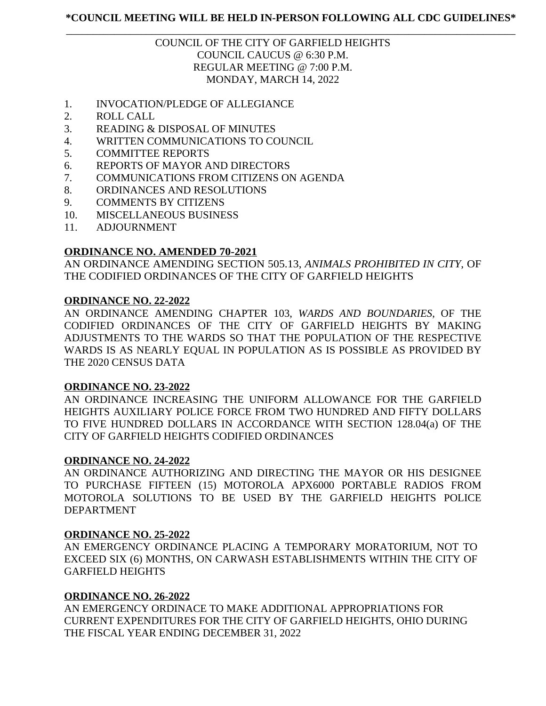## \_\_\_\_\_\_\_\_\_\_\_\_\_\_\_\_\_\_\_\_\_\_\_\_\_\_\_\_\_\_\_\_\_\_\_\_\_\_\_\_\_\_\_\_\_\_\_\_\_\_\_\_\_\_\_\_\_\_\_\_\_\_\_\_\_\_\_\_\_\_\_\_\_\_\_\_\_\_\_\_\_\_\_\_ COUNCIL OF THE CITY OF GARFIELD HEIGHTS COUNCIL CAUCUS @ 6:30 P.M. REGULAR MEETING @ 7:00 P.M. MONDAY, MARCH 14, 2022

- 1. INVOCATION/PLEDGE OF ALLEGIANCE
- 2. ROLL CALL
- 3. READING & DISPOSAL OF MINUTES
- 4. WRITTEN COMMUNICATIONS TO COUNCIL
- 5. COMMITTEE REPORTS
- 6. REPORTS OF MAYOR AND DIRECTORS
- 7. COMMUNICATIONS FROM CITIZENS ON AGENDA
- 8. ORDINANCES AND RESOLUTIONS
- 9. COMMENTS BY CITIZENS
- 10. MISCELLANEOUS BUSINESS
- 11. ADJOURNMENT

# **ORDINANCE NO. AMENDED 70-2021**

AN ORDINANCE AMENDING SECTION 505.13, *ANIMALS PROHIBITED IN CITY*, OF THE CODIFIED ORDINANCES OF THE CITY OF GARFIELD HEIGHTS

## **ORDINANCE NO. 22-2022**

AN ORDINANCE AMENDING CHAPTER 103, *WARDS AND BOUNDARIES*, OF THE CODIFIED ORDINANCES OF THE CITY OF GARFIELD HEIGHTS BY MAKING ADJUSTMENTS TO THE WARDS SO THAT THE POPULATION OF THE RESPECTIVE WARDS IS AS NEARLY EQUAL IN POPULATION AS IS POSSIBLE AS PROVIDED BY THE 2020 CENSUS DATA

## **ORDINANCE NO. 23-2022**

AN ORDINANCE INCREASING THE UNIFORM ALLOWANCE FOR THE GARFIELD HEIGHTS AUXILIARY POLICE FORCE FROM TWO HUNDRED AND FIFTY DOLLARS TO FIVE HUNDRED DOLLARS IN ACCORDANCE WITH SECTION 128.04(a) OF THE CITY OF GARFIELD HEIGHTS CODIFIED ORDINANCES

## **ORDINANCE NO. 24-2022**

AN ORDINANCE AUTHORIZING AND DIRECTING THE MAYOR OR HIS DESIGNEE TO PURCHASE FIFTEEN (15) MOTOROLA APX6000 PORTABLE RADIOS FROM MOTOROLA SOLUTIONS TO BE USED BY THE GARFIELD HEIGHTS POLICE DEPARTMENT

## **ORDINANCE NO. 25-2022**

AN EMERGENCY ORDINANCE PLACING A TEMPORARY MORATORIUM, NOT TO EXCEED SIX (6) MONTHS, ON CARWASH ESTABLISHMENTS WITHIN THE CITY OF GARFIELD HEIGHTS

## **ORDINANCE NO. 26-2022**

AN EMERGENCY ORDINACE TO MAKE ADDITIONAL APPROPRIATIONS FOR CURRENT EXPENDITURES FOR THE CITY OF GARFIELD HEIGHTS, OHIO DURING THE FISCAL YEAR ENDING DECEMBER 31, 2022